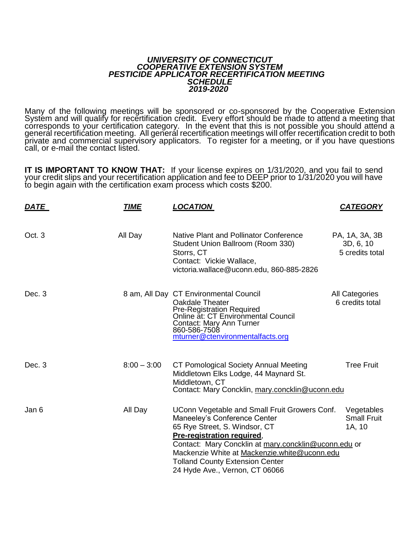## *UNIVERSITY OF CONNECTICUT COOPERATIVE EXTENSION SYSTEM PESTICIDE APPLICATOR RECERTIFICATION MEETING SCHEDULE 2019-2020*

Many of the following meetings will be sponsored or co-sponsored by the Cooperative Extension System and will qualify for recertification credit. Every effort should be made to attend a meeting that corresponds to your certification category. In the event that this is not possible you should attend a general recertification meeting. All general recertification meetings will offer recertification credit to both private and commercial supervisory applicators. To register for a meeting, or if you have questions call, or e-mail the contact listed.

**IT IS IMPORTANT TO KNOW THAT:** If your license expires on 1/31/2020, and you fail to send your credit slips and your recertification application and fee to DEEP prior to 1/31/2020 you will have to begin again with the certification exam process which costs \$200.

| <u>DATE</u> | <b>TIME</b>   | <b>LOCATION</b>                                                                                                                                                                                                                                                                                                                  | <b>CATEGORY</b>                                |
|-------------|---------------|----------------------------------------------------------------------------------------------------------------------------------------------------------------------------------------------------------------------------------------------------------------------------------------------------------------------------------|------------------------------------------------|
| Oct. 3      | All Day       | Native Plant and Pollinator Conference<br>Student Union Ballroom (Room 330)<br>Storrs, CT<br>Contact: Vickie Wallace,<br>victoria.wallace@uconn.edu, 860-885-2826                                                                                                                                                                | PA, 1A, 3A, 3B<br>3D, 6, 10<br>5 credits total |
| Dec. 3      |               | 8 am, All Day CT Environmental Council<br><b>Oakdale Theater</b><br>Pre-Registration Required<br>Online at: CT Environmental Council<br>Contact: Mary Ann Turner<br>860-586-7508<br>mturner@ctenvironmentalfacts.org                                                                                                             | All Categories<br>6 credits total              |
| Dec. 3      | $8:00 - 3:00$ | CT Pomological Society Annual Meeting<br>Middletown Elks Lodge, 44 Maynard St.<br>Middletown, CT<br>Contact: Mary Concklin, mary.concklin@uconn.edu                                                                                                                                                                              | <b>Tree Fruit</b>                              |
| Jan 6       | All Day       | UConn Vegetable and Small Fruit Growers Conf.<br>Maneeley's Conference Center<br>65 Rye Street, S. Windsor, CT<br>Pre-registration required.<br>Contact: Mary Concklin at mary.concklin@uconn.edu or<br>Mackenzie White at Mackenzie.white@uconn.edu<br><b>Tolland County Extension Center</b><br>24 Hyde Ave., Vernon, CT 06066 | Vegetables<br><b>Small Fruit</b><br>1A, 10     |